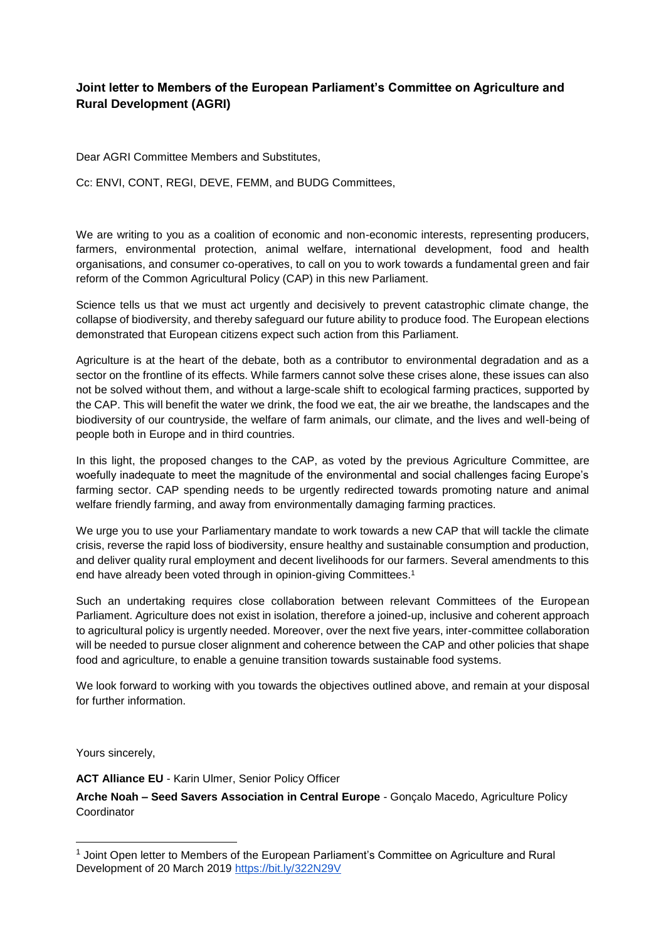## **Joint letter to Members of the European Parliament's Committee on Agriculture and Rural Development (AGRI)**

Dear AGRI Committee Members and Substitutes,

Cc: ENVI, CONT, REGI, DEVE, FEMM, and BUDG Committees,

We are writing to you as a coalition of economic and non-economic interests, representing producers, farmers, environmental protection, animal welfare, international development, food and health organisations, and consumer co-operatives, to call on you to work towards a fundamental green and fair reform of the Common Agricultural Policy (CAP) in this new Parliament.

Science tells us that we must act urgently and decisively to prevent catastrophic climate change, the collapse of biodiversity, and thereby safeguard our future ability to produce food. The European elections demonstrated that European citizens expect such action from this Parliament.

Agriculture is at the heart of the debate, both as a contributor to environmental degradation and as a sector on the frontline of its effects. While farmers cannot solve these crises alone, these issues can also not be solved without them, and without a large-scale shift to ecological farming practices, supported by the CAP. This will benefit the water we drink, the food we eat, the air we breathe, the landscapes and the biodiversity of our countryside, the welfare of farm animals, our climate, and the lives and well-being of people both in Europe and in third countries.

In this light, the proposed changes to the CAP, as voted by the previous Agriculture Committee, are woefully inadequate to meet the magnitude of the environmental and social challenges facing Europe's farming sector. CAP spending needs to be urgently redirected towards promoting nature and animal welfare friendly farming, and away from environmentally damaging farming practices.

We urge you to use your Parliamentary mandate to work towards a new CAP that will tackle the climate crisis, reverse the rapid loss of biodiversity, ensure healthy and sustainable consumption and production, and deliver quality rural employment and decent livelihoods for our farmers. Several amendments to this end have already been voted through in opinion-giving Committees.<sup>1</sup>

Such an undertaking requires close collaboration between relevant Committees of the European Parliament. Agriculture does not exist in isolation, therefore a joined-up, inclusive and coherent approach to agricultural policy is urgently needed. Moreover, over the next five years, inter-committee collaboration will be needed to pursue closer alignment and coherence between the CAP and other policies that shape food and agriculture, to enable a genuine transition towards sustainable food systems.

We look forward to working with you towards the objectives outlined above, and remain at your disposal for further information.

Yours sincerely,

 $\overline{a}$ 

**ACT Alliance EU** - Karin Ulmer, Senior Policy Officer

**Arche Noah – Seed Savers Association in Central Europe** - Gonçalo Macedo, Agriculture Policy Coordinator

<sup>&</sup>lt;sup>1</sup> Joint Open letter to Members of the European Parliament's Committee on Agriculture and Rural Development of 20 March 2019<https://bit.ly/322N29V>